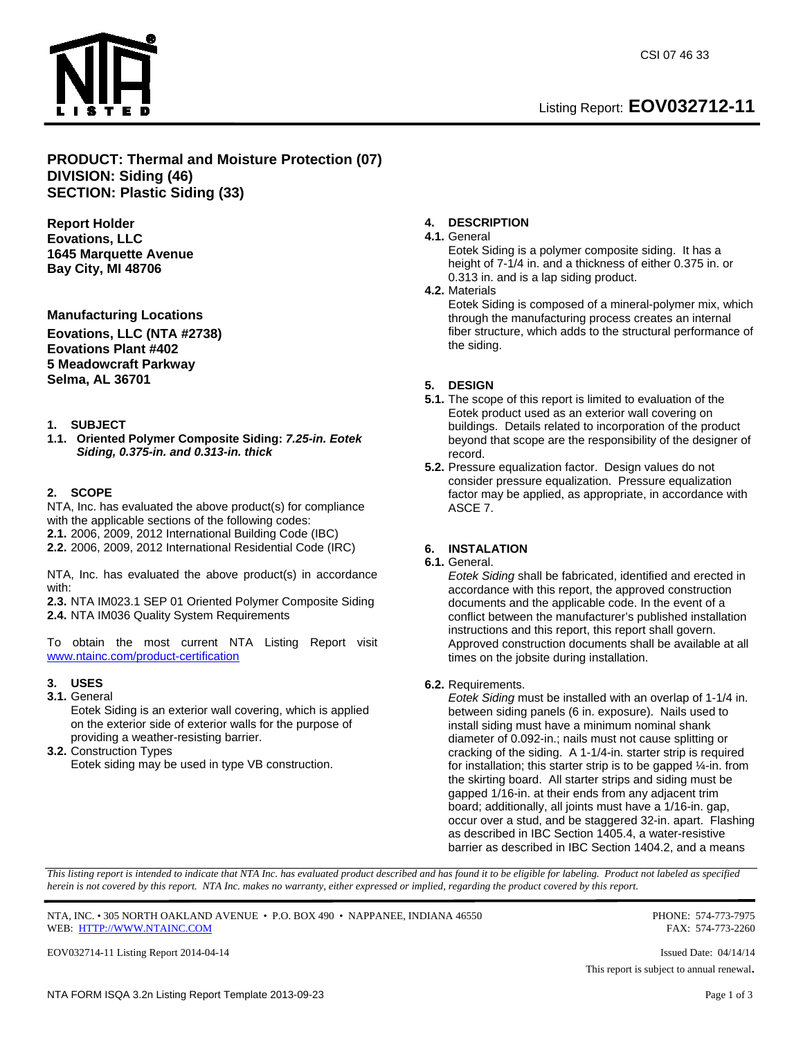



# **PRODUCT: Thermal and Moisture Protection (07) DIVISION: Siding (46) SECTION: Plastic Siding (33)**

**Report Holder Eovations, LLC 1645 Marquette Avenue Bay City, MI 48706** 

**Manufacturing Locations** 

**Eovations, LLC (NTA #2738) Eovations Plant #402 5 Meadowcraft Parkway Selma, AL 36701** 

#### **1. SUBJECT**

**1.1. Oriented Polymer Composite Siding:** *7.25-in. Eotek Siding, 0.375-in. and 0.313-in. thick*

#### **2. SCOPE**

NTA, Inc. has evaluated the above product(s) for compliance with the applicable sections of the following codes: **2.1.** 2006, 2009, 2012 International Building Code (IBC) **2.2.** 2006, 2009, 2012 International Residential Code (IRC)

NTA, Inc. has evaluated the above product(s) in accordance with:

**2.3.** NTA IM023.1 SEP 01 Oriented Polymer Composite Siding **2.4.** NTA IM036 Quality System Requirements

To obtain the most current NTA Listing Report visit www.ntainc.com/product-certification

# **3. USES**

**3.1.** General

Eotek Siding is an exterior wall covering, which is applied on the exterior side of exterior walls for the purpose of providing a weather-resisting barrier.

**3.2.** Construction Types Eotek siding may be used in type VB construction.

### **4. DESCRIPTION**

#### **4.1.** General

Eotek Siding is a polymer composite siding. It has a height of 7-1/4 in. and a thickness of either 0.375 in. or 0.313 in. and is a lap siding product.

#### **4.2.** Materials

Eotek Siding is composed of a mineral-polymer mix, which through the manufacturing process creates an internal fiber structure, which adds to the structural performance of the siding.

#### **5. DESIGN**

- **5.1.** The scope of this report is limited to evaluation of the Eotek product used as an exterior wall covering on buildings. Details related to incorporation of the product beyond that scope are the responsibility of the designer of record.
- **5.2.** Pressure equalization factor. Design values do not consider pressure equalization. Pressure equalization factor may be applied, as appropriate, in accordance with ASCE 7.

# **6. INSTALATION**

**6.1.** General.

*Eotek Siding* shall be fabricated, identified and erected in accordance with this report, the approved construction documents and the applicable code. In the event of a conflict between the manufacturer's published installation instructions and this report, this report shall govern. Approved construction documents shall be available at all times on the jobsite during installation.

#### **6.2.** Requirements.

*Eotek Siding* must be installed with an overlap of 1-1/4 in. between siding panels (6 in. exposure). Nails used to install siding must have a minimum nominal shank diameter of 0.092-in.; nails must not cause splitting or cracking of the siding. A 1-1/4-in. starter strip is required for installation; this starter strip is to be gapped ¼-in. from the skirting board. All starter strips and siding must be gapped 1/16-in. at their ends from any adjacent trim board; additionally, all joints must have a 1/16-in. gap, occur over a stud, and be staggered 32-in. apart. Flashing as described in IBC Section 1405.4, a water-resistive barrier as described in IBC Section 1404.2, and a means

*This listing report is intended to indicate that NTA Inc. has evaluated product described and has found it to be eligible for labeling. Product not labeled as specified herein is not covered by this report. NTA Inc. makes no warranty, either expressed or implied, regarding the product covered by this report.* 

NTA, INC. • 305 NORTH OAKLAND AVENUE • P.O. BOX 490 • NAPPANEE, INDIANA 46550 PHONE: 574-773-7975 WEB: HTTP://WWW.NTAINC.COM FAX: 574-773-2260

EOV032714-11 Listing Report 2014-04-14 Issued Date: 04/14/14

This report is subject to annual renewal.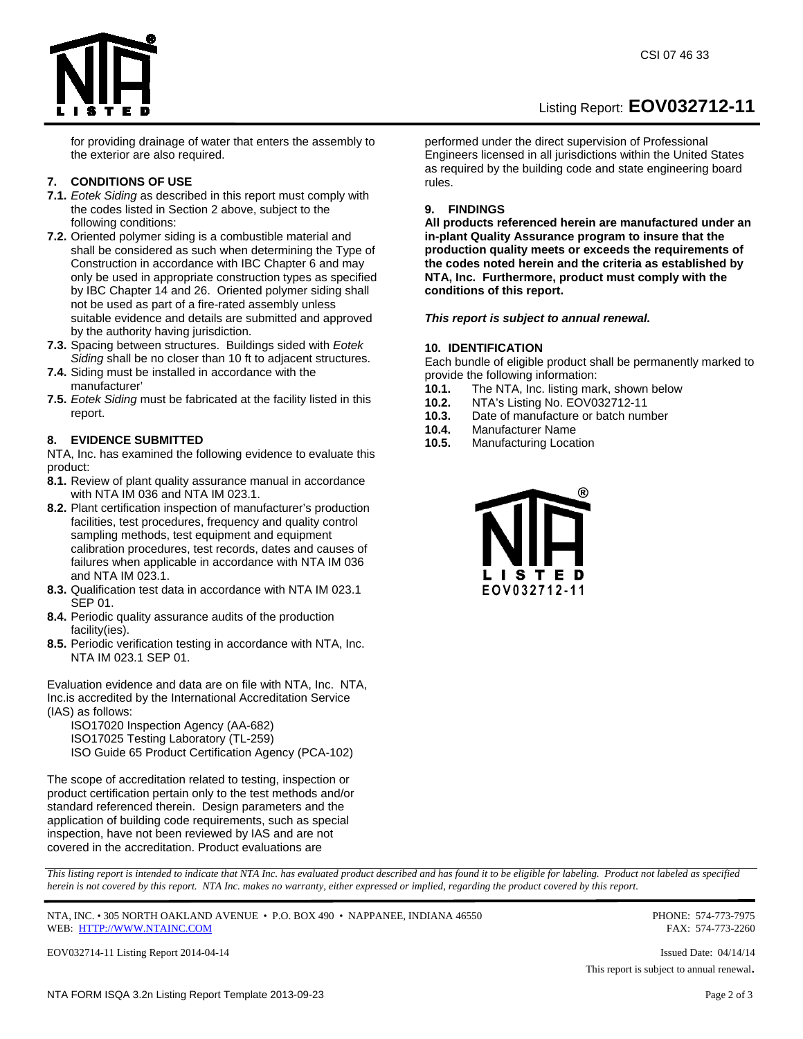Listing Report: **EOV032712-11** 



for providing drainage of water that enters the assembly to the exterior are also required.

# **7. CONDITIONS OF USE**

- **7.1.** *Eotek Siding* as described in this report must comply with the codes listed in Section 2 above, subject to the following conditions:
- **7.2.** Oriented polymer siding is a combustible material and shall be considered as such when determining the Type of Construction in accordance with IBC Chapter 6 and may only be used in appropriate construction types as specified by IBC Chapter 14 and 26. Oriented polymer siding shall not be used as part of a fire-rated assembly unless suitable evidence and details are submitted and approved by the authority having jurisdiction.
- **7.3.** Spacing between structures. Buildings sided with *Eotek Siding* shall be no closer than 10 ft to adjacent structures.
- **7.4.** Siding must be installed in accordance with the manufacturer'
- **7.5.** *Eotek Siding* must be fabricated at the facility listed in this report.

# **8. EVIDENCE SUBMITTED**

NTA, Inc. has examined the following evidence to evaluate this product:

- **8.1.** Review of plant quality assurance manual in accordance with NTA IM 036 and NTA IM 023.1.
- **8.2.** Plant certification inspection of manufacturer's production facilities, test procedures, frequency and quality control sampling methods, test equipment and equipment calibration procedures, test records, dates and causes of failures when applicable in accordance with NTA IM 036 and NTA IM 023.1.
- **8.3.** Qualification test data in accordance with NTA IM 023.1 SEP 01.
- **8.4.** Periodic quality assurance audits of the production facility(ies).
- **8.5.** Periodic verification testing in accordance with NTA, Inc. NTA IM 023.1 SEP 01.

Evaluation evidence and data are on file with NTA, Inc. NTA, Inc.is accredited by the International Accreditation Service (IAS) as follows:

ISO17020 Inspection Agency (AA-682) ISO17025 Testing Laboratory (TL-259)

ISO Guide 65 Product Certification Agency (PCA-102)

The scope of accreditation related to testing, inspection or product certification pertain only to the test methods and/or standard referenced therein. Design parameters and the application of building code requirements, such as special inspection, have not been reviewed by IAS and are not covered in the accreditation. Product evaluations are

performed under the direct supervision of Professional Engineers licensed in all jurisdictions within the United States as required by the building code and state engineering board rules.

#### **9. FINDINGS**

**All products referenced herein are manufactured under an in-plant Quality Assurance program to insure that the production quality meets or exceeds the requirements of the codes noted herein and the criteria as established by NTA, Inc. Furthermore, product must comply with the conditions of this report.** 

*This report is subject to annual renewal.* 

# **10. IDENTIFICATION**

Each bundle of eligible product shall be permanently marked to provide the following information:

- **10.1.** The NTA, Inc. listing mark, shown below
- **10.2.** NTA's Listing No. EOV032712-11
- **10.3.** Date of manufacture or batch number
- **10.4.** Manufacturer Name
- **10.5.** Manufacturing Location



*This listing report is intended to indicate that NTA Inc. has evaluated product described and has found it to be eligible for labeling. Product not labeled as specified herein is not covered by this report. NTA Inc. makes no warranty, either expressed or implied, regarding the product covered by this report.* 

NTA, INC. • 305 NORTH OAKLAND AVENUE • P.O. BOX 490 • NAPPANEE, INDIANA 46550 PHONE: 574-773-7975 WEB: HTTP://WWW.NTAINC.COM FAX: 574-773-2260

EOV032714-11 Listing Report 2014-04-14 Issued Date: 04/14/14

This report is subject to annual renewal.